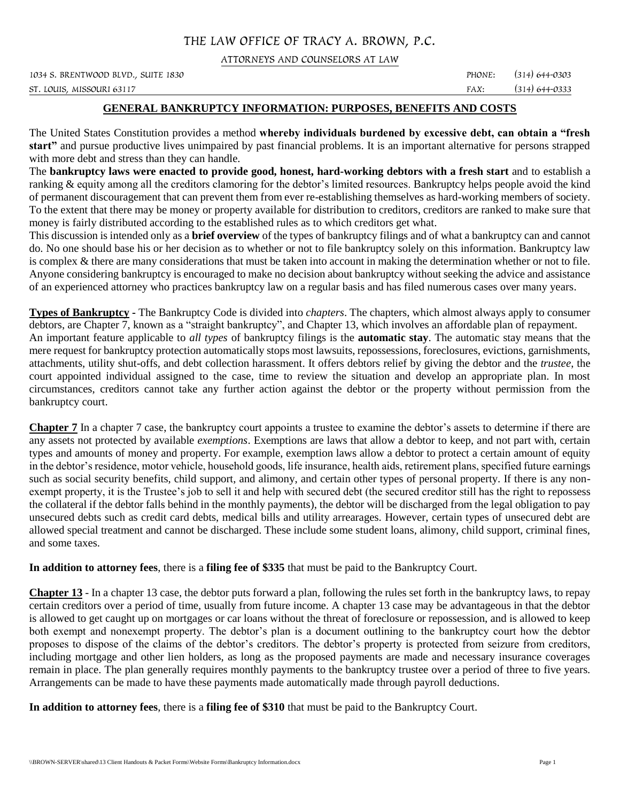## THE LAW OFFICE OF TRACY A. BROWN, P.C.

ATTORNEYS AND COUNSELORS AT LAW

| 1034 S. BRENTWOOD BLVD., SUITE 1830 |      | PHONE: (314) 644-0303 |
|-------------------------------------|------|-----------------------|
| ST. LOUIS, MISSOURI 63117           | FAX: | $(314)$ 644-0333      |
|                                     |      |                       |

### **GENERAL BANKRUPTCY INFORMATION: PURPOSES, BENEFITS AND COSTS**

The United States Constitution provides a method **whereby individuals burdened by excessive debt, can obtain a "fresh start"** and pursue productive lives unimpaired by past financial problems. It is an important alternative for persons strapped with more debt and stress than they can handle.

The **bankruptcy laws were enacted to provide good, honest, hard-working debtors with a fresh start** and to establish a ranking & equity among all the creditors clamoring for the debtor's limited resources. Bankruptcy helps people avoid the kind of permanent discouragement that can prevent them from ever re-establishing themselves as hard-working members of society. To the extent that there may be money or property available for distribution to creditors, creditors are ranked to make sure that money is fairly distributed according to the established rules as to which creditors get what.

This discussion is intended only as a **brief overview** of the types of bankruptcy filings and of what a bankruptcy can and cannot do. No one should base his or her decision as to whether or not to file bankruptcy solely on this information. Bankruptcy law is complex & there are many considerations that must be taken into account in making the determination whether or not to file. Anyone considering bankruptcy is encouraged to make no decision about bankruptcy without seeking the advice and assistance of an experienced attorney who practices bankruptcy law on a regular basis and has filed numerous cases over many years.

**Types of Bankruptcy -** The Bankruptcy Code is divided into *chapters*. The chapters, which almost always apply to consumer debtors, are Chapter 7, known as a "straight bankruptcy", and Chapter 13, which involves an affordable plan of repayment. An important feature applicable to *all types* of bankruptcy filings is the **automatic stay**. The automatic stay means that the mere request for bankruptcy protection automatically stops most lawsuits, repossessions, foreclosures, evictions, garnishments, attachments, utility shut-offs, and debt collection harassment. It offers debtors relief by giving the debtor and the *trustee*, the court appointed individual assigned to the case, time to review the situation and develop an appropriate plan. In most circumstances, creditors cannot take any further action against the debtor or the property without permission from the bankruptcy court.

**Chapter 7** In a chapter 7 case, the bankruptcy court appoints a trustee to examine the debtor's assets to determine if there are any assets not protected by available *exemptions*. Exemptions are laws that allow a debtor to keep, and not part with, certain types and amounts of money and property. For example, exemption laws allow a debtor to protect a certain amount of equity in the debtor's residence, motor vehicle, household goods, life insurance, health aids, retirement plans, specified future earnings such as social security benefits, child support, and alimony, and certain other types of personal property. If there is any nonexempt property, it is the Trustee's job to sell it and help with secured debt (the secured creditor still has the right to repossess the collateral if the debtor falls behind in the monthly payments), the debtor will be discharged from the legal obligation to pay unsecured debts such as credit card debts, medical bills and utility arrearages. However, certain types of unsecured debt are allowed special treatment and cannot be discharged. These include some student loans, alimony, child support, criminal fines, and some taxes.

**In addition to attorney fees**, there is a **filing fee of \$335** that must be paid to the Bankruptcy Court.

**Chapter 13** - In a chapter 13 case, the debtor puts forward a plan, following the rules set forth in the bankruptcy laws, to repay certain creditors over a period of time, usually from future income. A chapter 13 case may be advantageous in that the debtor is allowed to get caught up on mortgages or car loans without the threat of foreclosure or repossession, and is allowed to keep both exempt and nonexempt property. The debtor's plan is a document outlining to the bankruptcy court how the debtor proposes to dispose of the claims of the debtor's creditors. The debtor's property is protected from seizure from creditors, including mortgage and other lien holders, as long as the proposed payments are made and necessary insurance coverages remain in place. The plan generally requires monthly payments to the bankruptcy trustee over a period of three to five years. Arrangements can be made to have these payments made automatically made through payroll deductions.

**In addition to attorney fees**, there is a **filing fee of \$310** that must be paid to the Bankruptcy Court.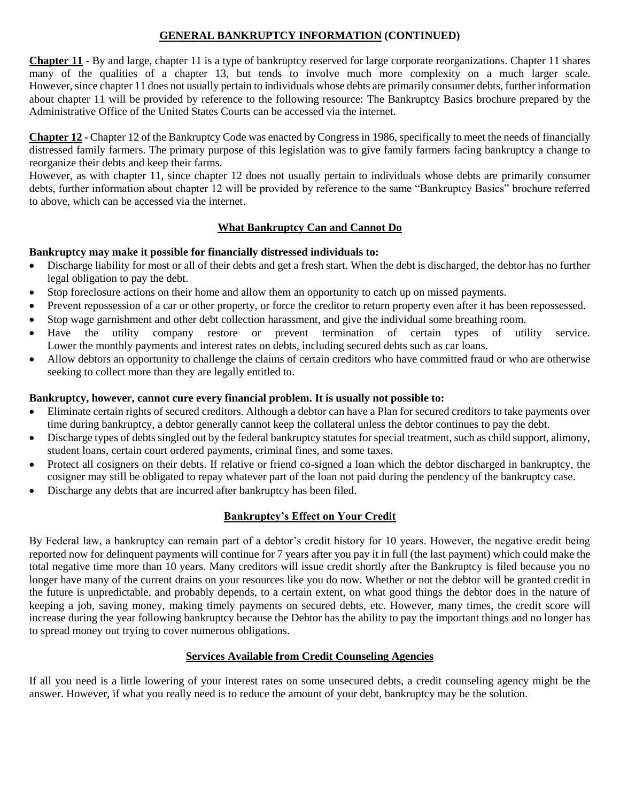## **GENERAL BANKRUPTCY INFORMATION (CONTINUED)**

**Chapter 11** - By and large, chapter 11 is a type of bankruptcy reserved for large corporate reorganizations. Chapter 11 shares many of the qualities of a chapter 13, but tends to involve much more complexity on a much larger scale. However, since chapter 11 does not usually pertain to individuals whose debts are primarily consumer debts, further information about chapter 11 will be provided by reference to the following resource: The Bankruptcy Basics brochure prepared by the Administrative Office of the United States Courts can be accessed via the internet.

**Chapter 12** - Chapter 12 of the Bankruptcy Code was enacted by Congress in 1986, specifically to meet the needs of financially distressed family farmers. The primary purpose of this legislation was to give family farmers facing bankruptcy a change to reorganize their debts and keep their farms.

However, as with chapter 11, since chapter 12 does not usually pertain to individuals whose debts are primarily consumer debts, further information about chapter 12 will be provided by reference to the same "Bankruptcy Basics" brochure referred to above, which can be accessed via the internet.

## **What Bankruptcy Can and Cannot Do**

## **Bankruptcy may make it possible for financially distressed individuals to:**

- Discharge liability for most or all of their debts and get a fresh start. When the debt is discharged, the debtor has no further legal obligation to pay the debt.
- Stop foreclosure actions on their home and allow them an opportunity to catch up on missed payments.
- Prevent repossession of a car or other property, or force the creditor to return property even after it has been repossessed.
- Stop wage garnishment and other debt collection harassment, and give the individual some breathing room.
- Have the utility company restore or prevent termination of certain types of utility service. Lower the monthly payments and interest rates on debts, including secured debts such as car loans.
- Allow debtors an opportunity to challenge the claims of certain creditors who have committed fraud or who are otherwise seeking to collect more than they are legally entitled to.

## **Bankruptcy, however, cannot cure every financial problem. It is usually not possible to:**

- Eliminate certain rights of secured creditors. Although a debtor can have a Plan for secured creditors to take payments over time during bankruptcy, a debtor generally cannot keep the collateral unless the debtor continues to pay the debt.
- Discharge types of debts singled out by the federal bankruptcy statutes for special treatment, such as child support, alimony, student loans, certain court ordered payments, criminal fines, and some taxes.
- Protect all cosigners on their debts. If relative or friend co-signed a loan which the debtor discharged in bankruptcy, the cosigner may still be obligated to repay whatever part of the loan not paid during the pendency of the bankruptcy case.
- Discharge any debts that are incurred after bankruptcy has been filed.

# **Bankruptcy's Effect on Your Credit**

By Federal law, a bankruptcy can remain part of a debtor's credit history for 10 years. However, the negative credit being reported now for delinquent payments will continue for 7 years after you pay it in full (the last payment) which could make the total negative time more than 10 years. Many creditors will issue credit shortly after the Bankruptcy is filed because you no longer have many of the current drains on your resources like you do now. Whether or not the debtor will be granted credit in the future is unpredictable, and probably depends, to a certain extent, on what good things the debtor does in the nature of keeping a job, saving money, making timely payments on secured debts, etc. However, many times, the credit score will increase during the year following bankruptcy because the Debtor has the ability to pay the important things and no longer has to spread money out trying to cover numerous obligations.

## **Services Available from Credit Counseling Agencies**

If all you need is a little lowering of your interest rates on some unsecured debts, a credit counseling agency might be the answer. However, if what you really need is to reduce the amount of your debt, bankruptcy may be the solution.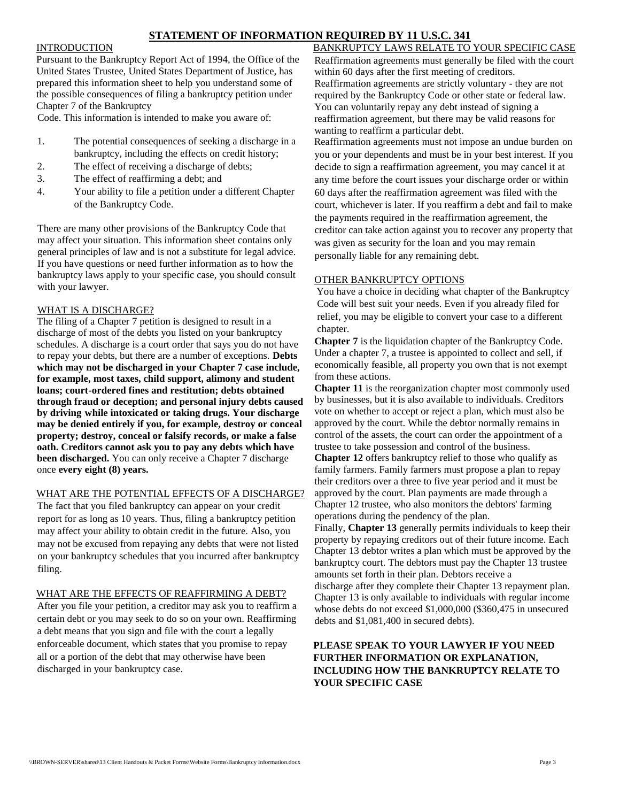# **STATEMENT OF INFORMATION REQUIRED BY 11 U.S.C. 341**

#### INTRODUCTION

Pursuant to the Bankruptcy Report Act of 1994, the Office of the United States Trustee, United States Department of Justice, has prepared this information sheet to help you understand some of the possible consequences of filing a bankruptcy petition under Chapter 7 of the Bankruptcy

Code. This information is intended to make you aware of:

- 1. The potential consequences of seeking a discharge in a bankruptcy, including the effects on credit history;
- 2. The effect of receiving a discharge of debts;
- 3. The effect of reaffirming a debt; and
- 4. Your ability to file a petition under a different Chapter of the Bankruptcy Code.

There are many other provisions of the Bankruptcy Code that may affect your situation. This information sheet contains only general principles of law and is not a substitute for legal advice. If you have questions or need further information as to how the bankruptcy laws apply to your specific case, you should consult with your lawyer.

#### WHAT IS A DISCHARGE?

The filing of a Chapter 7 petition is designed to result in a discharge of most of the debts you listed on your bankruptcy schedules. A discharge is a court order that says you do not have to repay your debts, but there are a number of exceptions. **Debts which may not be discharged in your Chapter 7 case include, for example, most taxes, child support, alimony and student loans; court-ordered fines and restitution; debts obtained through fraud or deception; and personal injury debts caused by driving while intoxicated or taking drugs. Your discharge may be denied entirely if you, for example, destroy or conceal property; destroy, conceal or falsify records, or make a false oath. Creditors cannot ask you to pay any debts which have been discharged.** You can only receive a Chapter 7 discharge once **every eight (8) years.**

#### WHAT ARE THE POTENTIAL EFFECTS OF A DISCHARGE?

The fact that you filed bankruptcy can appear on your credit report for as long as 10 years. Thus, filing a bankruptcy petition may affect your ability to obtain credit in the future. Also, you may not be excused from repaying any debts that were not listed on your bankruptcy schedules that you incurred after bankruptcy filing.

#### WHAT ARE THE EFFECTS OF REAFFIRMING A DEBT?

After you file your petition, a creditor may ask you to reaffirm a certain debt or you may seek to do so on your own. Reaffirming a debt means that you sign and file with the court a legally enforceable document, which states that you promise to repay all or a portion of the debt that may otherwise have been discharged in your bankruptcy case.

BANKRUPTCY LAWS RELATE TO YOUR SPECIFIC CASE

Reaffirmation agreements must generally be filed with the court within 60 days after the first meeting of creditors. Reaffirmation agreements are strictly voluntary - they are not required by the Bankruptcy Code or other state or federal law. You can voluntarily repay any debt instead of signing a reaffirmation agreement, but there may be valid reasons for wanting to reaffirm a particular debt.

Reaffirmation agreements must not impose an undue burden on you or your dependents and must be in your best interest. If you decide to sign a reaffirmation agreement, you may cancel it at any time before the court issues your discharge order or within 60 days after the reaffirmation agreement was filed with the court, whichever is later. If you reaffirm a debt and fail to make the payments required in the reaffirmation agreement, the creditor can take action against you to recover any property that was given as security for the loan and you may remain personally liable for any remaining debt.

#### OTHER BANKRUPTCY OPTIONS

You have a choice in deciding what chapter of the Bankruptcy Code will best suit your needs. Even if you already filed for relief, you may be eligible to convert your case to a different chapter.

**Chapter 7** is the liquidation chapter of the Bankruptcy Code. Under a chapter 7, a trustee is appointed to collect and sell, if economically feasible, all property you own that is not exempt from these actions.

**Chapter 11** is the reorganization chapter most commonly used by businesses, but it is also available to individuals. Creditors vote on whether to accept or reject a plan, which must also be approved by the court. While the debtor normally remains in control of the assets, the court can order the appointment of a trustee to take possession and control of the business.

**Chapter 12** offers bankruptcy relief to those who qualify as family farmers. Family farmers must propose a plan to repay their creditors over a three to five year period and it must be approved by the court. Plan payments are made through a Chapter 12 trustee, who also monitors the debtors' farming operations during the pendency of the plan.

Finally, **Chapter 13** generally permits individuals to keep their property by repaying creditors out of their future income. Each Chapter 13 debtor writes a plan which must be approved by the bankruptcy court. The debtors must pay the Chapter 13 trustee amounts set forth in their plan. Debtors receive a

discharge after they complete their Chapter 13 repayment plan. Chapter 13 is only available to individuals with regular income whose debts do not exceed \$1,000,000 (\$360,475 in unsecured debts and \$1,081,400 in secured debts).

### **PLEASE SPEAK TO YOUR LAWYER IF YOU NEED FURTHER INFORMATION OR EXPLANATION, INCLUDING HOW THE BANKRUPTCY RELATE TO YOUR SPECIFIC CASE**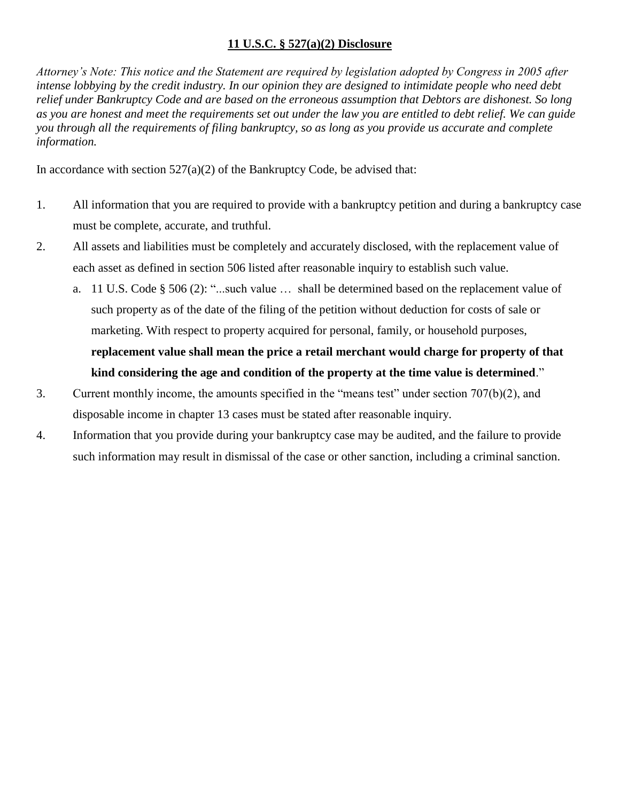# **11 U.S.C. § 527(a)(2) Disclosure**

*Attorney's Note: This notice and the Statement are required by legislation adopted by Congress in 2005 after intense lobbying by the credit industry. In our opinion they are designed to intimidate people who need debt relief under Bankruptcy Code and are based on the erroneous assumption that Debtors are dishonest. So long as you are honest and meet the requirements set out under the law you are entitled to debt relief. We can guide you through all the requirements of filing bankruptcy, so as long as you provide us accurate and complete information.*

In accordance with section  $527(a)(2)$  of the Bankruptcy Code, be advised that:

- 1. All information that you are required to provide with a bankruptcy petition and during a bankruptcy case must be complete, accurate, and truthful.
- 2. All assets and liabilities must be completely and accurately disclosed, with the replacement value of each asset as defined in section 506 listed after reasonable inquiry to establish such value.
	- a. 11 U.S. Code § 506 (2): "...such value … shall be determined based on the replacement value of such property as of the date of the filing of the petition without deduction for costs of sale or marketing. With respect to property acquired for personal, family, or household purposes, **replacement value shall mean the price a retail merchant would charge for property of that kind considering the age and condition of the property at the time value is determined**."
- 3. Current monthly income, the amounts specified in the "means test" under section 707(b)(2), and disposable income in chapter 13 cases must be stated after reasonable inquiry.
- 4. Information that you provide during your bankruptcy case may be audited, and the failure to provide such information may result in dismissal of the case or other sanction, including a criminal sanction.